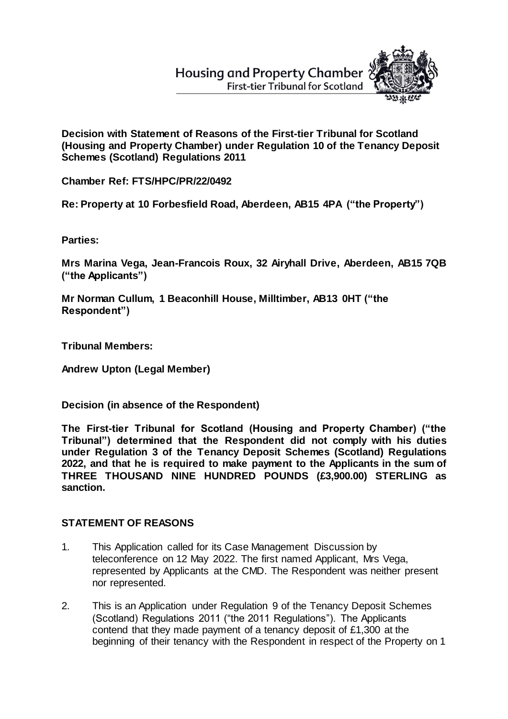## **Housing and Property Chamber First-tier Tribunal for Scotland**



**Decision with Statement of Reasons of the First-tier Tribunal for Scotland (Housing and Property Chamber) under Regulation 10 of the Tenancy Deposit Schemes (Scotland) Regulations 2011**

**Chamber Ref: FTS/HPC/PR/22/0492**

**Re: Property at 10 Forbesfield Road, Aberdeen, AB15 4PA ("the Property")**

**Parties:**

**Mrs Marina Vega, Jean-Francois Roux, 32 Airyhall Drive, Aberdeen, AB15 7QB ("the Applicants")**

**Mr Norman Cullum, 1 Beaconhill House, Milltimber, AB13 0HT ("the Respondent")** 

**Tribunal Members:**

**Andrew Upton (Legal Member)**

**Decision (in absence of the Respondent)**

**The First-tier Tribunal for Scotland (Housing and Property Chamber) ("the Tribunal") determined that the Respondent did not comply with his duties under Regulation 3 of the Tenancy Deposit Schemes (Scotland) Regulations 2022, and that he is required to make payment to the Applicants in the sum of THREE THOUSAND NINE HUNDRED POUNDS (£3,900.00) STERLING as sanction.**

## **STATEMENT OF REASONS**

- 1. This Application called for its Case Management Discussion by teleconference on 12 May 2022. The first named Applicant, Mrs Vega, represented by Applicants at the CMD. The Respondent was neither present nor represented.
- 2. This is an Application under Regulation 9 of the Tenancy Deposit Schemes (Scotland) Regulations 2011 ("the 2011 Regulations"). The Applicants contend that they made payment of a tenancy deposit of £1,300 at the beginning of their tenancy with the Respondent in respect of the Property on 1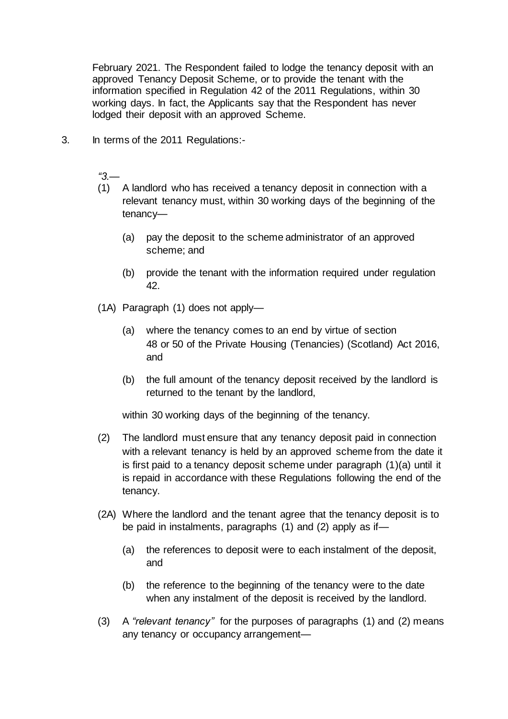February 2021. The Respondent failed to lodge the tenancy deposit with an approved Tenancy Deposit Scheme, or to provide the tenant with the information specified in Regulation 42 of the 2011 Regulations, within 30 working days. In fact, the Applicants say that the Respondent has never lodged their deposit with an approved Scheme.

3. In terms of the 2011 Regulations:-

*"3.—*

- (1) A landlord who has received a tenancy deposit in connection with a relevant tenancy must, within 30 working days of the beginning of the tenancy—
	- (a) pay the deposit to the scheme administrator of an approved scheme; and
	- (b) provide the tenant with the information required under regulation 42.
- (1A) Paragraph (1) does not apply—
	- (a) where the tenancy comes to an end by virtue of section 48 or 50 of the Private Housing (Tenancies) (Scotland) Act 2016, and
	- (b) the full amount of the tenancy deposit received by the landlord is returned to the tenant by the landlord,

within 30 working days of the beginning of the tenancy.

- (2) The landlord must ensure that any tenancy deposit paid in connection with a relevant tenancy is held by an approved scheme from the date it is first paid to a tenancy deposit scheme under paragraph (1)(a) until it is repaid in accordance with these Regulations following the end of the tenancy.
- (2A) Where the landlord and the tenant agree that the tenancy deposit is to be paid in instalments, paragraphs (1) and (2) apply as if—
	- (a) the references to deposit were to each instalment of the deposit, and
	- (b) the reference to the beginning of the tenancy were to the date when any instalment of the deposit is received by the landlord.
- (3) A *"relevant tenancy"* for the purposes of paragraphs (1) and (2) means any tenancy or occupancy arrangement—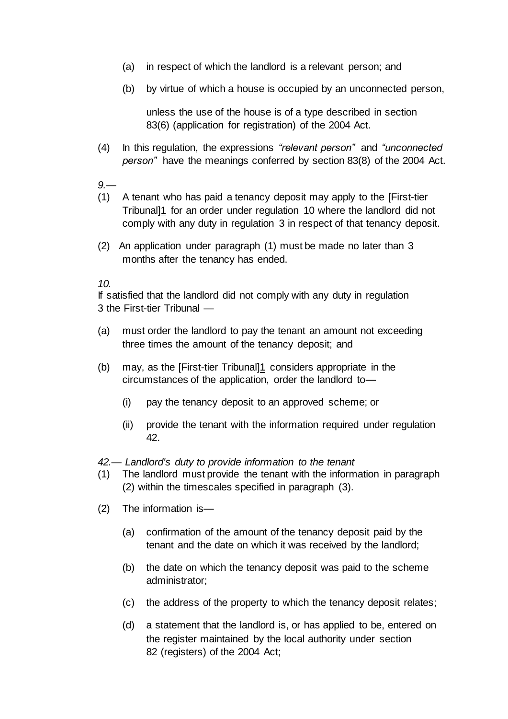- (a) in respect of which the landlord is a relevant person; and
- (b) by virtue of which a house is occupied by an unconnected person,

unless the use of the house is of a type described in section 83(6) (application for registration) of the 2004 Act.

- (4) In this regulation, the expressions *"relevant person"* and *"unconnected person"* have the meanings conferred by section 83(8) of the 2004 Act.
- *9.—*
- (1) A tenant who has paid a tenancy deposit may apply to the [First-tier Tribunal]1 for an order under regulation 10 where the landlord did not comply with any duty in regulation 3 in respect of that tenancy deposit.
- (2) An application under paragraph (1) must be made no later than 3 months after the tenancy has ended.

*10.*

If satisfied that the landlord did not comply with any duty in regulation 3 the First-tier Tribunal —

- (a) must order the landlord to pay the tenant an amount not exceeding three times the amount of the tenancy deposit; and
- (b) may, as the [First-tier Tribunal]1 considers appropriate in the circumstances of the application, order the landlord to—
	- (i) pay the tenancy deposit to an approved scheme; or
	- (ii) provide the tenant with the information required under regulation 42.

*42.— Landlord's duty to provide information to the tenant*

- (1) The landlord must provide the tenant with the information in paragraph (2) within the timescales specified in paragraph (3).
- (2) The information is—
	- (a) confirmation of the amount of the tenancy deposit paid by the tenant and the date on which it was received by the landlord;
	- (b) the date on which the tenancy deposit was paid to the scheme administrator;
	- (c) the address of the property to which the tenancy deposit relates;
	- (d) a statement that the landlord is, or has applied to be, entered on the register maintained by the local authority under section 82 (registers) of the 2004 Act;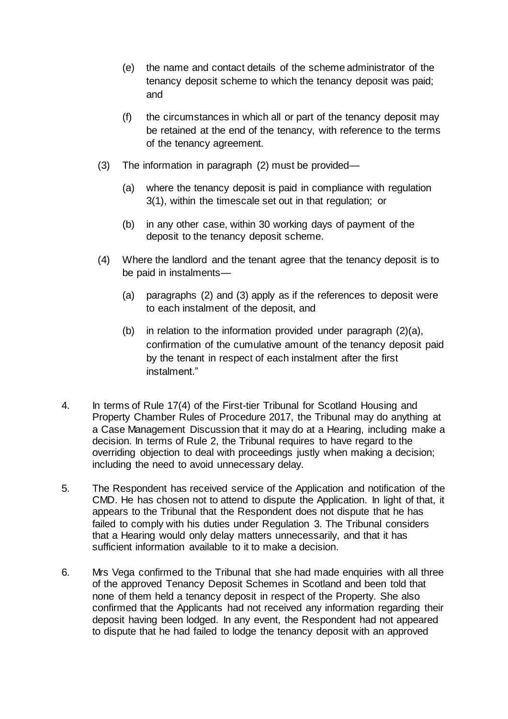- (e) the name and contact details of the scheme administrator of the tenancy deposit scheme to which the tenancy deposit was paid; and
- (f) the circumstances in which all or part of the tenancy deposit may be retained at the end of the tenancy, with reference to the terms of the tenancy agreement.
- (3) The information in paragraph (2) must be provided—
	- (a) where the tenancy deposit is paid in compliance with regulation 3(1), within the timescale set out in that regulation; or
	- (b) in any other case, within 30 working days of payment of the deposit to the tenancy deposit scheme.
- (4) Where the landlord and the tenant agree that the tenancy deposit is to be paid in instalments—
	- (a) paragraphs (2) and (3) apply as if the references to deposit were to each instalment of the deposit, and
	- (b) in relation to the information provided under paragraph (2)(a), confirmation of the cumulative amount of the tenancy deposit paid by the tenant in respect of each instalment after the first instalment."
- 4. In terms of Rule 17(4) of the First-tier Tribunal for Scotland Housing and Property Chamber Rules of Procedure 2017, the Tribunal may do anything at a Case Management Discussion that it may do at a Hearing, including make a decision. In terms of Rule 2, the Tribunal requires to have regard to the overriding objection to deal with proceedings justly when making a decision; including the need to avoid unnecessary delay.
- 5. The Respondent has received service of the Application and notification of the CMD. He has chosen not to attend to dispute the Application. In light of that, it appears to the Tribunal that the Respondent does not dispute that he has failed to comply with his duties under Regulation 3. The Tribunal considers that a Hearing would only delay matters unnecessarily, and that it has sufficient information available to it to make a decision.
- 6. Mrs Vega confirmed to the Tribunal that she had made enquiries with all three of the approved Tenancy Deposit Schemes in Scotland and been told that none of them held a tenancy deposit in respect of the Property. She also confirmed that the Applicants had not received any information regarding their deposit having been lodged. In any event, the Respondent had not appeared to dispute that he had failed to lodge the tenancy deposit with an approved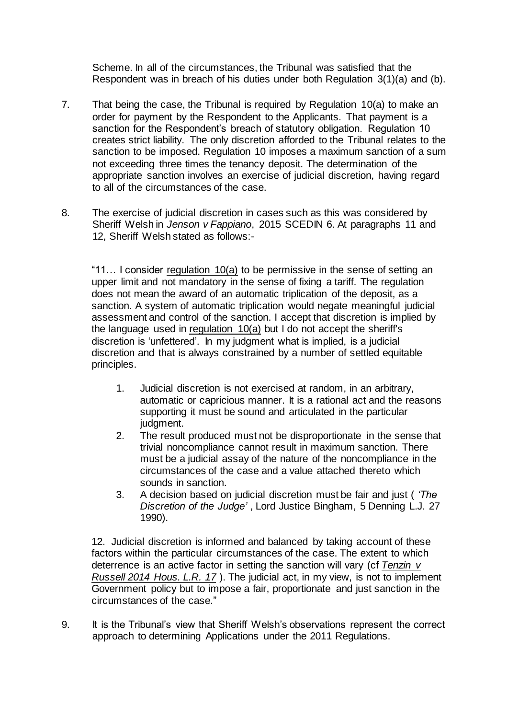Scheme. In all of the circumstances, the Tribunal was satisfied that the Respondent was in breach of his duties under both Regulation 3(1)(a) and (b).

- 7. That being the case, the Tribunal is required by Regulation 10(a) to make an order for payment by the Respondent to the Applicants. That payment is a sanction for the Respondent's breach of statutory obligation. Regulation 10 creates strict liability. The only discretion afforded to the Tribunal relates to the sanction to be imposed. Regulation 10 imposes a maximum sanction of a sum not exceeding three times the tenancy deposit. The determination of the appropriate sanction involves an exercise of judicial discretion, having regard to all of the circumstances of the case.
- 8. The exercise of judicial discretion in cases such as this was considered by Sheriff Welsh in *Jenson v Fappiano*, 2015 SCEDIN 6. At paragraphs 11 and 12, Sheriff Welsh stated as follows:-

"11… I consider regulation 10(a) to be permissive in the sense of setting an upper limit and not mandatory in the sense of fixing a tariff. The regulation does not mean the award of an automatic triplication of the deposit, as a sanction. A system of automatic triplication would negate meaningful judicial assessment and control of the sanction. I accept that discretion is implied by the language used in regulation  $10(a)$  but I do not accept the sheriff's discretion is 'unfettered'. In my judgment what is implied, is a judicial discretion and that is always constrained by a number of settled equitable principles.

- 1. Judicial discretion is not exercised at random, in an arbitrary, automatic or capricious manner. It is a rational act and the reasons supporting it must be sound and articulated in the particular judgment.
- 2. The result produced must not be disproportionate in the sense that trivial noncompliance cannot result in maximum sanction. There must be a judicial assay of the nature of the noncompliance in the circumstances of the case and a value attached thereto which sounds in sanction.
- 3. A decision based on judicial discretion must be fair and just ( *'The Discretion of the Judge'* , Lord Justice Bingham, 5 Denning L.J. 27 1990).

12. Judicial discretion is informed and balanced by taking account of these factors within the particular circumstances of the case. The extent to which deterrence is an active factor in setting the sanction will vary (cf *Tenzin v Russell 2014 Hous. L.R. 17* ). The judicial act, in my view, is not to implement Government policy but to impose a fair, proportionate and just sanction in the circumstances of the case."

9. It is the Tribunal's view that Sheriff Welsh's observations represent the correct approach to determining Applications under the 2011 Regulations.